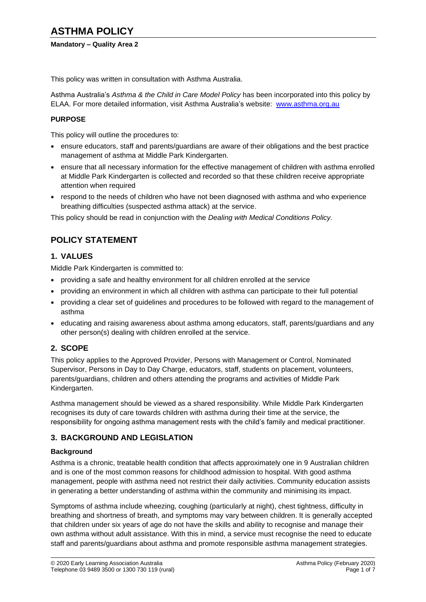### **Mandatory – Quality Area 2**

This policy was written in consultation with Asthma Australia.

Asthma Australia's *Asthma & the Child in Care Model Policy* has been incorporated into this policy by ELAA. For more detailed information, visit Asthma Australia's website: [www.asthma.org.au](http://www.asthma.org.au/)

#### **PURPOSE**

This policy will outline the procedures to:

- ensure educators, staff and parents/guardians are aware of their obligations and the best practice management of asthma at Middle Park Kindergarten.
- ensure that all necessary information for the effective management of children with asthma enrolled at Middle Park Kindergarten is collected and recorded so that these children receive appropriate attention when required
- respond to the needs of children who have not been diagnosed with asthma and who experience breathing difficulties (suspected asthma attack) at the service.

This policy should be read in conjunction with the *Dealing with Medical Conditions Policy.*

## **POLICY STATEMENT**

### **1. VALUES**

Middle Park Kindergarten is committed to:

- providing a safe and healthy environment for all children enrolled at the service
- providing an environment in which all children with asthma can participate to their full potential
- providing a clear set of guidelines and procedures to be followed with regard to the management of asthma
- educating and raising awareness about asthma among educators, staff, parents/guardians and any other person(s) dealing with children enrolled at the service.

### **2. SCOPE**

This policy applies to the Approved Provider, Persons with Management or Control, Nominated Supervisor, Persons in Day to Day Charge, educators, staff, students on placement, volunteers, parents/guardians, children and others attending the programs and activities of Middle Park Kindergarten.

Asthma management should be viewed as a shared responsibility. While Middle Park Kindergarten recognises its duty of care towards children with asthma during their time at the service, the responsibility for ongoing asthma management rests with the child's family and medical practitioner.

### **3. BACKGROUND AND LEGISLATION**

#### **Background**

Asthma is a chronic, treatable health condition that affects approximately one in 9 Australian children and is one of the most common reasons for childhood admission to hospital. With good asthma management, people with asthma need not restrict their daily activities. Community education assists in generating a better understanding of asthma within the community and minimising its impact.

Symptoms of asthma include wheezing, coughing (particularly at night), chest tightness, difficulty in breathing and shortness of breath, and symptoms may vary between children. It is generally accepted that children under six years of age do not have the skills and ability to recognise and manage their own asthma without adult assistance. With this in mind, a service must recognise the need to educate staff and parents/guardians about asthma and promote responsible asthma management strategies.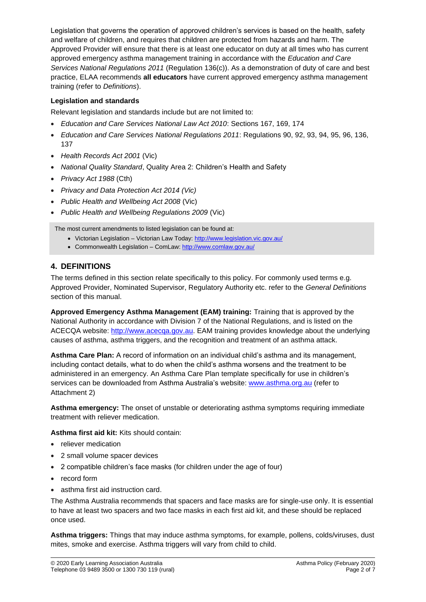Legislation that governs the operation of approved children's services is based on the health, safety and welfare of children, and requires that children are protected from hazards and harm. The Approved Provider will ensure that there is at least one educator on duty at all times who has current approved emergency asthma management training in accordance with the *Education and Care Services National Regulations 2011* (Regulation 136(c)). As a demonstration of duty of care and best practice, ELAA recommends **all educators** have current approved emergency asthma management training (refer to *Definitions*).

### **Legislation and standards**

Relevant legislation and standards include but are not limited to:

- *Education and Care Services National Law Act 2010*: Sections 167, 169, 174
- *Education and Care Services National Regulations 2011*: Regulations 90, 92, 93, 94, 95, 96, 136, 137
- *Health Records Act 2001* (Vic)
- *National Quality Standard*, Quality Area 2: Children's Health and Safety
- *Privacy Act 1988* (Cth)
- *Privacy and Data Protection Act 2014 (Vic)*
- *Public Health and Wellbeing Act 2008* (Vic)
- *Public Health and Wellbeing Regulations 2009* (Vic)

The most current amendments to listed legislation can be found at:

- Victorian Legislation Victorian Law Today:<http://www.legislation.vic.gov.au/>
- Commonwealth Legislation ComLaw[: http://www.comlaw.gov.au/](http://www.comlaw.gov.au/)

### **4. DEFINITIONS**

The terms defined in this section relate specifically to this policy. For commonly used terms e.g. Approved Provider, Nominated Supervisor, Regulatory Authority etc. refer to the *General Definitions* section of this manual.

**Approved Emergency Asthma Management (EAM) training:** Training that is approved by the National Authority in accordance with Division 7 of the National Regulations, and is listed on the ACECQA website: [http://www.acecqa.gov.au.](http://www.acecqa.gov.au/) EAM training provides knowledge about the underlying causes of asthma, asthma triggers, and the recognition and treatment of an asthma attack.

**Asthma Care Plan:** A record of information on an individual child's asthma and its management, including contact details, what to do when the child's asthma worsens and the treatment to be administered in an emergency. An Asthma Care Plan template specifically for use in children's services can be downloaded from Asthma Australia's website: [www.asthma.org.au](http://www.asthma.org.au/) (refer to Attachment 2)

**Asthma emergency:** The onset of unstable or deteriorating asthma symptoms requiring immediate treatment with reliever medication.

**Asthma first aid kit:** Kits should contain:

- reliever medication
- 2 small volume spacer devices
- 2 compatible children's face masks (for children under the age of four)
- record form
- asthma first aid instruction card.

The Asthma Australia recommends that spacers and face masks are for single-use only. It is essential to have at least two spacers and two face masks in each first aid kit, and these should be replaced once used.

**Asthma triggers:** Things that may induce asthma symptoms, for example, pollens, colds/viruses, dust mites, smoke and exercise. Asthma triggers will vary from child to child.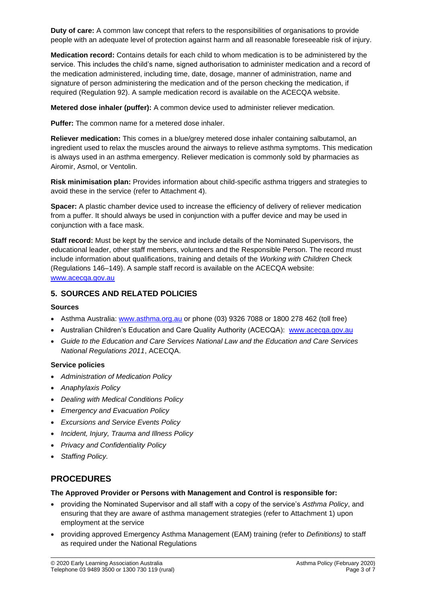**Duty of care:** A common law concept that refers to the responsibilities of organisations to provide people with an adequate level of protection against harm and all reasonable foreseeable risk of injury.

**Medication record:** Contains details for each child to whom medication is to be administered by the service. This includes the child's name, signed authorisation to administer medication and a record of the medication administered, including time, date, dosage, manner of administration, name and signature of person administering the medication and of the person checking the medication, if required (Regulation 92). A sample medication record is available on the ACECQA website.

**Metered dose inhaler (puffer):** A common device used to administer reliever medication.

**Puffer:** The common name for a metered dose inhaler.

**Reliever medication:** This comes in a blue/grey metered dose inhaler containing salbutamol, an ingredient used to relax the muscles around the airways to relieve asthma symptoms. This medication is always used in an asthma emergency. Reliever medication is commonly sold by pharmacies as Airomir, Asmol, or Ventolin.

**Risk minimisation plan:** Provides information about child-specific asthma triggers and strategies to avoid these in the service (refer to Attachment 4).

**Spacer:** A plastic chamber device used to increase the efficiency of delivery of reliever medication from a puffer. It should always be used in conjunction with a puffer device and may be used in conjunction with a face mask.

**Staff record:** Must be kept by the service and include details of the Nominated Supervisors, the educational leader, other staff members, volunteers and the Responsible Person. The record must include information about qualifications, training and details of the *Working with Children* Check (Regulations 146–149). A sample staff record is available on the ACECQA website: [www.acecqa.gov.au](http://www.acecqa.gov.au/)

### **5. SOURCES AND RELATED POLICIES**

#### **Sources**

- Asthma Australia: [www.asthma.org.au](http://www.asthmaaustralia.org.au/) or phone (03) 9326 7088 or 1800 278 462 (toll free)
- Australian Children's Education and Care Quality Authority (ACECQA): [www.acecqa.gov.au](http://www.acecqa.gov.au/)
- *Guide to the Education and Care Services National Law and the Education and Care Services National Regulations 2011*, ACECQA.

#### **Service policies**

- *Administration of Medication Policy*
- *Anaphylaxis Policy*
- *Dealing with Medical Conditions Policy*
- *Emergency and Evacuation Policy*
- *Excursions and Service Events Policy*
- *Incident, Injury, Trauma and Illness Policy*
- *Privacy and Confidentiality Policy*
- *Staffing Policy.*

## **PROCEDURES**

#### **The Approved Provider or Persons with Management and Control is responsible for:**

- providing the Nominated Supervisor and all staff with a copy of the service's *Asthma Policy*, and ensuring that they are aware of asthma management strategies (refer to Attachment 1) upon employment at the service
- providing approved Emergency Asthma Management (EAM) training (refer to *Definitions)* to staff as required under the National Regulations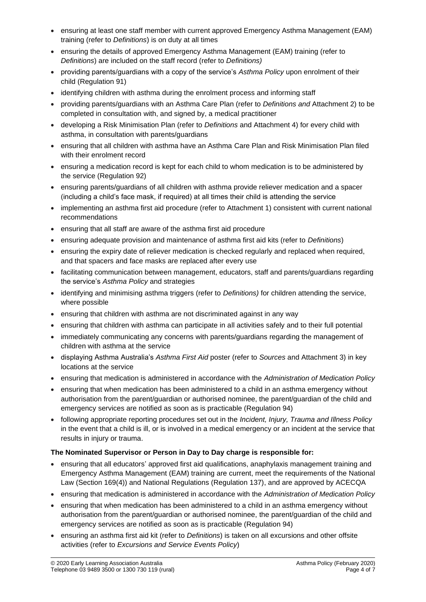- ensuring at least one staff member with current approved Emergency Asthma Management (EAM) training (refer to *Definitions*) is on duty at all times
- ensuring the details of approved Emergency Asthma Management (EAM) training (refer to *Definitions*) are included on the staff record (refer to *Definitions)*
- providing parents/guardians with a copy of the service's *Asthma Policy* upon enrolment of their child (Regulation 91)
- identifying children with asthma during the enrolment process and informing staff
- providing parents/guardians with an Asthma Care Plan (refer to *Definitions and* Attachment 2) to be completed in consultation with, and signed by, a medical practitioner
- developing a Risk Minimisation Plan (refer to *Definitions* and Attachment 4) for every child with asthma, in consultation with parents/guardians
- ensuring that all children with asthma have an Asthma Care Plan and Risk Minimisation Plan filed with their enrolment record
- ensuring a medication record is kept for each child to whom medication is to be administered by the service (Regulation 92)
- ensuring parents/guardians of all children with asthma provide reliever medication and a spacer (including a child's face mask, if required) at all times their child is attending the service
- implementing an asthma first aid procedure (refer to Attachment 1) consistent with current national recommendations
- ensuring that all staff are aware of the asthma first aid procedure
- ensuring adequate provision and maintenance of asthma first aid kits (refer to *Definitions*)
- ensuring the expiry date of reliever medication is checked regularly and replaced when required, and that spacers and face masks are replaced after every use
- facilitating communication between management, educators, staff and parents/guardians regarding the service's *Asthma Policy* and strategies
- identifying and minimising asthma triggers (refer to *Definitions*) for children attending the service, where possible
- ensuring that children with asthma are not discriminated against in any way
- ensuring that children with asthma can participate in all activities safely and to their full potential
- immediately communicating any concerns with parents/guardians regarding the management of children with asthma at the service
- displaying Asthma Australia's *Asthma First Aid* poster (refer to *Sources* and Attachment 3) in key locations at the service
- ensuring that medication is administered in accordance with the *Administration of Medication Policy*
- ensuring that when medication has been administered to a child in an asthma emergency without authorisation from the parent/guardian or authorised nominee, the parent/guardian of the child and emergency services are notified as soon as is practicable (Regulation 94)
- following appropriate reporting procedures set out in the *Incident, Injury, Trauma and Illness Policy* in the event that a child is ill, or is involved in a medical emergency or an incident at the service that results in injury or trauma.

### **The Nominated Supervisor or Person in Day to Day charge is responsible for:**

- ensuring that all educators' approved first aid qualifications, anaphylaxis management training and Emergency Asthma Management (EAM) training are current, meet the requirements of the National Law (Section 169(4)) and National Regulations (Regulation 137), and are approved by ACECQA
- ensuring that medication is administered in accordance with the *Administration of Medication Policy*
- ensuring that when medication has been administered to a child in an asthma emergency without authorisation from the parent/guardian or authorised nominee, the parent/guardian of the child and emergency services are notified as soon as is practicable (Regulation 94)
- ensuring an asthma first aid kit (refer to *Definitions*) is taken on all excursions and other offsite activities (refer to *Excursions and Service Events Policy*)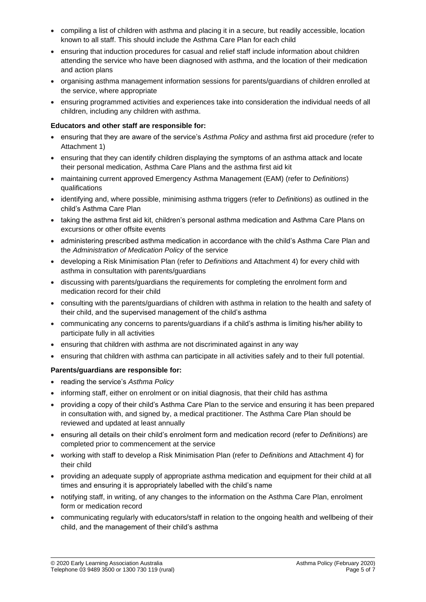- compiling a list of children with asthma and placing it in a secure, but readily accessible, location known to all staff. This should include the Asthma Care Plan for each child
- ensuring that induction procedures for casual and relief staff include information about children attending the service who have been diagnosed with asthma, and the location of their medication and action plans
- organising asthma management information sessions for parents/guardians of children enrolled at the service, where appropriate
- ensuring programmed activities and experiences take into consideration the individual needs of all children, including any children with asthma.

### **Educators and other staff are responsible for:**

- ensuring that they are aware of the service's *Asthma Policy* and asthma first aid procedure (refer to Attachment 1)
- ensuring that they can identify children displaying the symptoms of an asthma attack and locate their personal medication, Asthma Care Plans and the asthma first aid kit
- maintaining current approved Emergency Asthma Management (EAM) (refer to *Definitions*) qualifications
- identifying and, where possible, minimising asthma triggers (refer to *Definitions*) as outlined in the child's Asthma Care Plan
- taking the asthma first aid kit, children's personal asthma medication and Asthma Care Plans on excursions or other offsite events
- administering prescribed asthma medication in accordance with the child's Asthma Care Plan and the *Administration of Medication Policy* of the service
- developing a Risk Minimisation Plan (refer to *Definitions* and Attachment 4) for every child with asthma in consultation with parents/guardians
- discussing with parents/guardians the requirements for completing the enrolment form and medication record for their child
- consulting with the parents/guardians of children with asthma in relation to the health and safety of their child, and the supervised management of the child's asthma
- communicating any concerns to parents/guardians if a child's asthma is limiting his/her ability to participate fully in all activities
- ensuring that children with asthma are not discriminated against in any way
- ensuring that children with asthma can participate in all activities safely and to their full potential.

### **Parents/guardians are responsible for:**

- reading the service's *Asthma Policy*
- informing staff, either on enrolment or on initial diagnosis, that their child has asthma
- providing a copy of their child's Asthma Care Plan to the service and ensuring it has been prepared in consultation with, and signed by, a medical practitioner. The Asthma Care Plan should be reviewed and updated at least annually
- ensuring all details on their child's enrolment form and medication record (refer to *Definitions*) are completed prior to commencement at the service
- working with staff to develop a Risk Minimisation Plan (refer to *Definitions* and Attachment 4) for their child
- providing an adequate supply of appropriate asthma medication and equipment for their child at all times and ensuring it is appropriately labelled with the child's name
- notifying staff, in writing, of any changes to the information on the Asthma Care Plan, enrolment form or medication record
- communicating regularly with educators/staff in relation to the ongoing health and wellbeing of their child, and the management of their child's asthma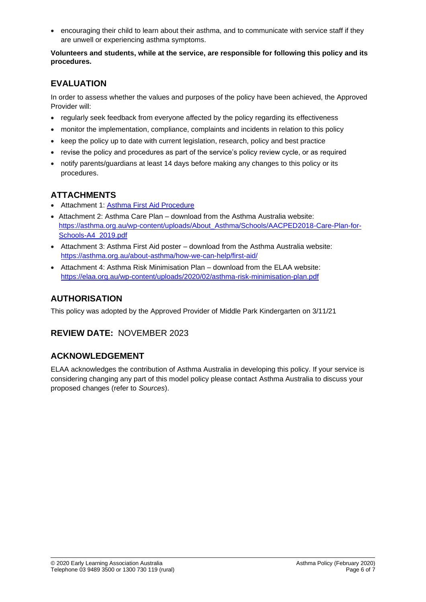• encouraging their child to learn about their asthma, and to communicate with service staff if they are unwell or experiencing asthma symptoms.

#### **Volunteers and students, while at the service, are responsible for following this policy and its procedures.**

# **EVALUATION**

In order to assess whether the values and purposes of the policy have been achieved, the Approved Provider will:

- regularly seek feedback from everyone affected by the policy regarding its effectiveness
- monitor the implementation, compliance, complaints and incidents in relation to this policy
- keep the policy up to date with current legislation, research, policy and best practice
- revise the policy and procedures as part of the service's policy review cycle, or as required
- notify parents/guardians at least 14 days before making any changes to this policy or its procedures.

# **ATTACHMENTS**

- Attachment 1: [Asthma First Aid Procedure](#page-6-0)
- Attachment 2: Asthma Care Plan download from the Asthma Australia website: [https://asthma.org.au/wp-content/uploads/About\\_Asthma/Schools/AACPED2018-Care-Plan-for-](https://asthma.org.au/wp-content/uploads/About_Asthma/Schools/AACPED2018-Care-Plan-for-Schools-A4_2019.pdf)[Schools-A4\\_2019.pdf](https://asthma.org.au/wp-content/uploads/About_Asthma/Schools/AACPED2018-Care-Plan-for-Schools-A4_2019.pdf)
- Attachment 3: Asthma First Aid poster download from the Asthma Australia website: <https://asthma.org.au/about-asthma/how-we-can-help/first-aid/>
- Attachment 4: Asthma Risk Minimisation Plan download from the ELAA website: <https://elaa.org.au/wp-content/uploads/2020/02/asthma-risk-minimisation-plan.pdf>

# **AUTHORISATION**

This policy was adopted by the Approved Provider of Middle Park Kindergarten on 3/11/21

# **REVIEW DATE:** NOVEMBER 2023

# **ACKNOWLEDGEMENT**

ELAA acknowledges the contribution of Asthma Australia in developing this policy. If your service is considering changing any part of this model policy please contact Asthma Australia to discuss your proposed changes (refer to *Sources*).